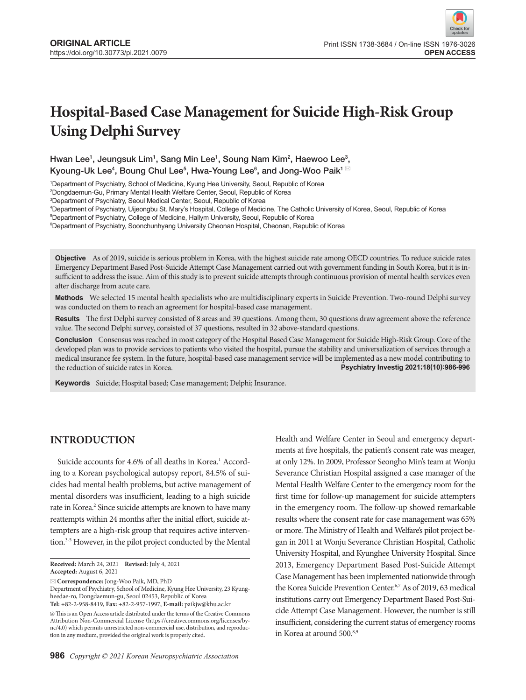# **Hospital-Based Case Management for Suicide High-Risk Group Using Delphi Survey**

Hwan Lee<sup>1</sup>, Jeungsuk Lim<sup>1</sup>, Sang Min Lee<sup>1</sup>, Soung Nam Kim<sup>2</sup>, Haewoo Lee<sup>3</sup>, Kyoung-Uk Lee $^4$ , Boung Chul Lee $^5$ , Hwa-Young Lee $^6$ , and Jong-Woo Paik $^{1\,\boxtimes}$ 

1 Department of Psychiatry, School of Medicine, Kyung Hee University, Seoul, Republic of Korea

2 Dongdaemun-Gu, Primary Mental Health Welfare Center, Seoul, Republic of Korea

3 Department of Psychiatry, Seoul Medical Center, Seoul, Republic of Korea

4 Department of Psychiatry, Uijeongbu St. Mary's Hospital, College of Medicine, The Catholic University of Korea, Seoul, Republic of Korea

5 Department of Psychiatry, College of Medicine, Hallym University, Seoul, Republic of Korea

6 Department of Psychiatry, Soonchunhyang University Cheonan Hospital, Cheonan, Republic of Korea

**Objective** As of 2019, suicide is serious problem in Korea, with the highest suicide rate among OECD countries. To reduce suicide rates Emergency Department Based Post-Suicide Attempt Case Management carried out with government funding in South Korea, but it is insufficient to address the issue. Aim of this study is to prevent suicide attempts through continuous provision of mental health services even after discharge from acute care.

**Methods** We selected 15 mental health specialists who are multidisciplinary experts in Suicide Prevention. Two-round Delphi survey was conducted on them to reach an agreement for hospital-based case management.

**Results** The first Delphi survey consisted of 8 areas and 39 questions. Among them, 30 questions draw agreement above the reference value. The second Delphi survey, consisted of 37 questions, resulted in 32 above-standard questions.

**Conclusion** Consensus was reached in most category of the Hospital Based Case Management for Suicide High-Risk Group. Core of the developed plan was to provide services to patients who visited the hospital, pursue the stability and universalization of services through a medical insurance fee system. In the future, hospital-based case management service will be implemented as a new model contributing to the reduction of suicide rates in Korea. **Psychiatry Investig 2021;18(10):986-996**

**Keywords** Suicide; Hospital based; Case management; Delphi; Insurance.

# **INTRODUCTION**

Suicide accounts for 4.6% of all deaths in Korea.<sup>1</sup> According to a Korean psychological autopsy report, 84.5% of suicides had mental health problems, but active management of mental disorders was insufficient, leading to a high suicide rate in Korea.<sup>2</sup> Since suicide attempts are known to have many reattempts within 24 months after the initial effort, suicide attempters are a high-risk group that requires active intervention.3-5 However, in the pilot project conducted by the Mental

**Correspondence:** Jong-Woo Paik, MD, PhD

Health and Welfare Center in Seoul and emergency departments at five hospitals, the patient's consent rate was meager, at only 12%. In 2009, Professor Seongho Min's team at Wonju Severance Christian Hospital assigned a case manager of the Mental Health Welfare Center to the emergency room for the first time for follow-up management for suicide attempters in the emergency room. The follow-up showed remarkable results where the consent rate for case management was 65% or more. The Ministry of Health and Welfare's pilot project began in 2011 at Wonju Severance Christian Hospital, Catholic University Hospital, and Kyunghee University Hospital. Since 2013, Emergency Department Based Post-Suicide Attempt Case Management has been implemented nationwide through the Korea Suicide Prevention Center.<sup>6,7</sup> As of 2019, 63 medical institutions carry out Emergency Department Based Post-Suicide Attempt Case Management. However, the number is still insufficient, considering the current status of emergency rooms in Korea at around 500.<sup>8,9</sup>

**Received:** March 24, 2021 **Revised:** July 4, 2021 **Accepted:** August 6, 2021

Department of Psychiatry, School of Medicine, Kyung Hee University, 23 Kyungheedae-ro, Dongdaemun-gu, Seoul 02453, Republic of Korea **Tel:** +82-2-958-8419, **Fax:** +82-2-957-1997, **E-mail:** paikjw@khu.ac.kr

 $\circledcirc$  This is an Open Access article distributed under the terms of the Creative Commons Attribution Non-Commercial License (https://creativecommons.org/licenses/bync/4.0) which permits unrestricted non-commercial use, distribution, and reproduction in any medium, provided the original work is properly cited.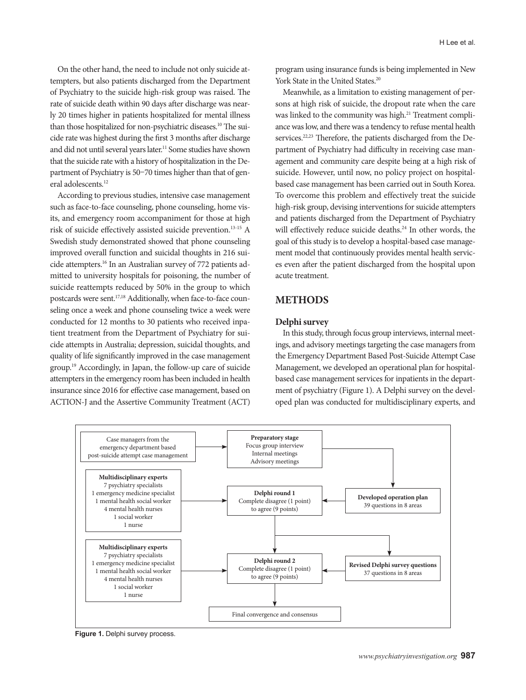On the other hand, the need to include not only suicide attempters, but also patients discharged from the Department of Psychiatry to the suicide high-risk group was raised. The rate of suicide death within 90 days after discharge was nearly 20 times higher in patients hospitalized for mental illness than those hospitalized for non-psychiatric diseases.10 The suicide rate was highest during the first 3 months after discharge and did not until several years later.<sup>11</sup> Some studies have shown that the suicide rate with a history of hospitalization in the Department of Psychiatry is 50–70 times higher than that of general adolescents.<sup>12</sup>

According to previous studies, intensive case management such as face-to-face counseling, phone counseling, home visits, and emergency room accompaniment for those at high risk of suicide effectively assisted suicide prevention.13-15 A Swedish study demonstrated showed that phone counseling improved overall function and suicidal thoughts in 216 suicide attempters.16 In an Australian survey of 772 patients admitted to university hospitals for poisoning, the number of suicide reattempts reduced by 50% in the group to which postcards were sent.17,18 Additionally, when face-to-face counseling once a week and phone counseling twice a week were conducted for 12 months to 30 patients who received inpatient treatment from the Department of Psychiatry for suicide attempts in Australia; depression, suicidal thoughts, and quality of life significantly improved in the case management group.19 Accordingly, in Japan, the follow-up care of suicide attempters in the emergency room has been included in health insurance since 2016 for effective case management, based on ACTION-J and the Assertive Community Treatment (ACT)

program using insurance funds is being implemented in New York State in the United States.<sup>20</sup>

Meanwhile, as a limitation to existing management of persons at high risk of suicide, the dropout rate when the care was linked to the community was high.<sup>21</sup> Treatment compliance was low, and there was a tendency to refuse mental health services.<sup>22,23</sup> Therefore, the patients discharged from the Department of Psychiatry had difficulty in receiving case management and community care despite being at a high risk of suicide. However, until now, no policy project on hospitalbased case management has been carried out in South Korea. To overcome this problem and effectively treat the suicide high-risk group, devising interventions for suicide attempters and patients discharged from the Department of Psychiatry will effectively reduce suicide deaths.<sup>24</sup> In other words, the goal of this study is to develop a hospital-based case management model that continuously provides mental health services even after the patient discharged from the hospital upon acute treatment.

# **METHODS**

### **Delphi survey**

In this study, through focus group interviews, internal meetings, and advisory meetings targeting the case managers from the Emergency Department Based Post-Suicide Attempt Case Management, we developed an operational plan for hospitalbased case management services for inpatients in the department of psychiatry (Figure 1). A Delphi survey on the developed plan was conducted for multidisciplinary experts, and



**Figure 1.** Delphi survey process.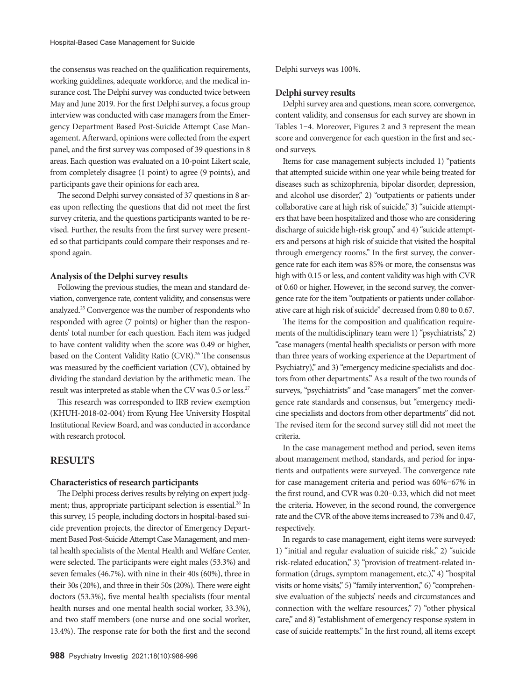the consensus was reached on the qualification requirements, working guidelines, adequate workforce, and the medical insurance cost. The Delphi survey was conducted twice between May and June 2019. For the first Delphi survey, a focus group interview was conducted with case managers from the Emergency Department Based Post-Suicide Attempt Case Management. Afterward, opinions were collected from the expert panel, and the first survey was composed of 39 questions in 8 areas. Each question was evaluated on a 10-point Likert scale, from completely disagree (1 point) to agree (9 points), and participants gave their opinions for each area.

The second Delphi survey consisted of 37 questions in 8 areas upon reflecting the questions that did not meet the first survey criteria, and the questions participants wanted to be revised. Further, the results from the first survey were presented so that participants could compare their responses and respond again.

### **Analysis of the Delphi survey results**

Following the previous studies, the mean and standard deviation, convergence rate, content validity, and consensus were analyzed.25 Convergence was the number of respondents who responded with agree (7 points) or higher than the respondents' total number for each question. Each item was judged to have content validity when the score was 0.49 or higher, based on the Content Validity Ratio (CVR).<sup>26</sup> The consensus was measured by the coefficient variation (CV), obtained by dividing the standard deviation by the arithmetic mean. The result was interpreted as stable when the CV was 0.5 or less.<sup>27</sup>

This research was corresponded to IRB review exemption (KHUH-2018-02-004) from Kyung Hee University Hospital Institutional Review Board, and was conducted in accordance with research protocol.

## **RESULTS**

### **Characteristics of research participants**

The Delphi process derives results by relying on expert judgment; thus, appropriate participant selection is essential.<sup>26</sup> In this survey, 15 people, including doctors in hospital-based suicide prevention projects, the director of Emergency Department Based Post-Suicide Attempt Case Management, and mental health specialists of the Mental Health and Welfare Center, were selected. The participants were eight males (53.3%) and seven females (46.7%), with nine in their 40s (60%), three in their 30s (20%), and three in their 50s (20%). There were eight doctors (53.3%), five mental health specialists (four mental health nurses and one mental health social worker, 33.3%), and two staff members (one nurse and one social worker, 13.4%). The response rate for both the first and the second

Delphi surveys was 100%.

### **Delphi survey results**

Delphi survey area and questions, mean score, convergence, content validity, and consensus for each survey are shown in Tables 1–4. Moreover, Figures 2 and 3 represent the mean score and convergence for each question in the first and second surveys.

Items for case management subjects included 1) "patients that attempted suicide within one year while being treated for diseases such as schizophrenia, bipolar disorder, depression, and alcohol use disorder," 2) "outpatients or patients under collaborative care at high risk of suicide," 3) "suicide attempters that have been hospitalized and those who are considering discharge of suicide high-risk group," and 4) "suicide attempters and persons at high risk of suicide that visited the hospital through emergency rooms." In the first survey, the convergence rate for each item was 85% or more, the consensus was high with 0.15 or less, and content validity was high with CVR of 0.60 or higher. However, in the second survey, the convergence rate for the item "outpatients or patients under collaborative care at high risk of suicide" decreased from 0.80 to 0.67.

The items for the composition and qualification requirements of the multidisciplinary team were 1) "psychiatrists," 2) "case managers (mental health specialists or person with more than three years of working experience at the Department of Psychiatry)," and 3) "emergency medicine specialists and doctors from other departments." As a result of the two rounds of surveys, "psychiatrists" and "case managers" met the convergence rate standards and consensus, but "emergency medicine specialists and doctors from other departments" did not. The revised item for the second survey still did not meet the criteria.

In the case management method and period, seven items about management method, standards, and period for inpatients and outpatients were surveyed. The convergence rate for case management criteria and period was 60%–67% in the first round, and CVR was 0.20–0.33, which did not meet the criteria. However, in the second round, the convergence rate and the CVR of the above items increased to 73% and 0.47, respectively.

In regards to case management, eight items were surveyed: 1) "initial and regular evaluation of suicide risk," 2) "suicide risk-related education," 3) "provision of treatment-related information (drugs, symptom management, etc.)," 4) "hospital visits or home visits," 5) "family intervention," 6) "comprehensive evaluation of the subjects' needs and circumstances and connection with the welfare resources," 7) "other physical care," and 8) "establishment of emergency response system in case of suicide reattempts." In the first round, all items except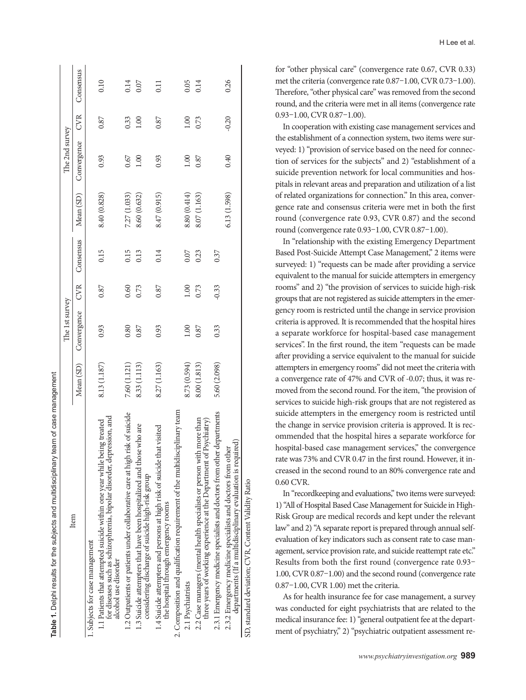| Table 1. Delphi results for the subjects and multidisciplinary team of case management                                                                                   |              |                |            |           |              |                |         |                   |
|--------------------------------------------------------------------------------------------------------------------------------------------------------------------------|--------------|----------------|------------|-----------|--------------|----------------|---------|-------------------|
|                                                                                                                                                                          |              | The 1st survey |            |           |              | The 2nd survey |         |                   |
| Item                                                                                                                                                                     | Mean (SD)    | Convergence    | <b>CVR</b> | Consensus | Mean (SD)    | Convergence    | CVR     | Consensus         |
| 1. Subjects for case management                                                                                                                                          |              |                |            |           |              |                |         |                   |
| for diseases such as schizophrenia, bipolar disorder, depression, and<br>1.1 Patients that attempted suicide within one year while being treated<br>alcohol use disorder | 8.13 (1.187) | 0.93           | 0.87       | 0.15      | 8.40 (0.828) | 0.93           | 0.87    | 0.10              |
| 1.2 Outpatients or patients under collaborative care at high risk of suicide                                                                                             | 7.60 (1.121) | 0.80           | 0.60       | 0.15      | 7.27 (1.033) | 0.67           | 0.33    | 0.14              |
| 1.3 Suicide attempters that have been hospitalized and those who are<br>considering discharge of suicide high-risk group                                                 | 8.33 (1.113) | 0.87           | 0.73       | 0.13      | 8.60(0.632)  | 00.1           | 1.00    | 0.07              |
| 1.4 Suicide attempters and persons at high risk of suicide that visited<br>the hospital through emergency rooms                                                          | 8.27 (1.163) | 0.93           | 0.87       | 0.14      | 8.47 (0.915) | 0.93           | 0.87    | $\overline{0.11}$ |
| 2. Composition and qualification requirement of the multidisciplinary team                                                                                               |              |                |            |           |              |                |         |                   |
| 2.1 Psychiatrists                                                                                                                                                        | 8.73 (0.594) | 00.1           | 1.00       | 0.07      | 8.80(0.414)  | 0.00           | 1.00    | 0.05              |
| 2.2 Case managers (mental health specialists or person with more than<br>three years of working experience at the Department of Psychiatry)                              | 8.00(1.813)  | 0.87           | 0.73       | 0.23      | 8.07 (1.163) | 0.87           | 0.73    | 0.14              |
| 2.3.1 Emergency medicine specialists and doctors from other departments                                                                                                  | 5.60 (2.098) | 0.33           | $-0.33$    | 0.37      |              |                |         |                   |
| departments (If a multidisciplinary evaluation is required)<br>2.3.2 Emergency medicine specialists and doctors from other                                               |              |                |            |           | 6.13(1.598)  | 0.40           | $-0.20$ | 0.26              |
| SD, standard deviation; CVR, Content Validity Ratio                                                                                                                      |              |                |            |           |              |                |         |                   |

for "other physical care" (convergence rate 0.67, CVR 0.33) met the criteria (convergence rate 0.87–1.00, CVR 0.73–1.00). Therefore, "other physical care" was removed from the second round, and the criteria were met in all items (convergence rate 0.93–1.00, CVR 0.87–1.00).

In cooperation with existing case management services and the establishment of a connection system, two items were surveyed: 1) "provision of service based on the need for connection of services for the subjects" and 2) "establishment of a suicide prevention network for local communities and hospitals in relevant areas and preparation and utilization of a list of related organizations for connection." In this area, convergence rate and consensus criteria were met in both the first round (convergence rate 0.93, CVR 0.87) and the second round (convergence rate 0.93–1.00, CVR 0.87–1.00).

In "relationship with the existing Emergency Department Based Post-Suicide Attempt Case Management," 2 items were surveyed: 1) "requests can be made after providing a service equivalent to the manual for suicide attempters in emergency rooms" and 2) "the provision of services to suicide high-risk groups that are not registered as suicide attempters in the emergency room is restricted until the change in service provision criteria is approved. It is recommended that the hospital hires a separate workforce for hospital-based case management services". In the first round, the item "requests can be made after providing a service equivalent to the manual for suicide attempters in emergency rooms" did not meet the criteria with a convergence rate of 47% and CVR of -0.07; thus, it was removed from the second round. For the item, "the provision of services to suicide high-risk groups that are not registered as suicide attempters in the emergency room is restricted until the change in service provision criteria is approved. It is recommended that the hospital hires a separate workforce for hospital-based case management services," the convergence rate was 73% and CVR 0.47 in the first round. However, it increased in the second round to an 80% convergence rate and 0.60 CVR.

In "recordkeeping and evaluations," two items were surveyed: 1) "All of Hospital Based Case Management for Suicide in High-Risk Group are medical records and kept under the relevant law" and 2) "A separate report is prepared through annual selfevaluation of key indicators such as consent rate to case management, service provision rate, and suicide reattempt rate etc." Results from both the first round (convergence rate 0.93– 1.00, CVR 0.87–1.00) and the second round (convergence rate 0.87–1.00, CVR 1.00) met the criteria.

As for health insurance fee for case management, a survey was conducted for eight psychiatrists that are related to the medical insurance fee: 1) "general outpatient fee at the department of psychiatry," 2) "psychiatric outpatient assessment re-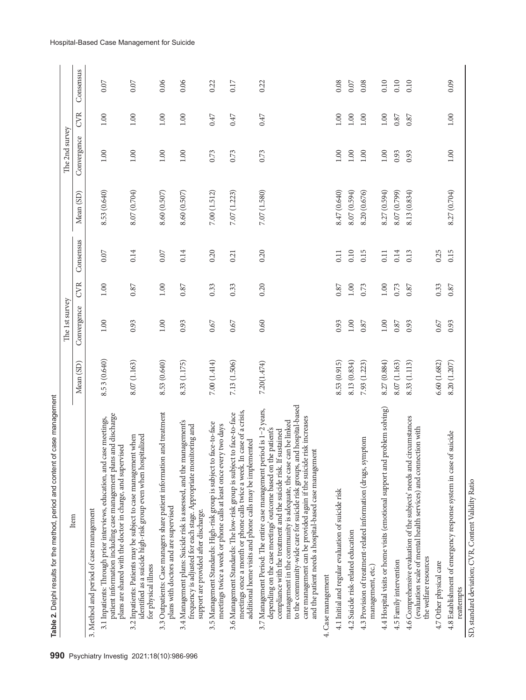| Table 2. Delphi results for the method, period and content of case management                                                                                                                                                                                                                                                                                                                                                                                                              |              | The 1st survey |            |           |              | The 2nd survey |            |           |
|--------------------------------------------------------------------------------------------------------------------------------------------------------------------------------------------------------------------------------------------------------------------------------------------------------------------------------------------------------------------------------------------------------------------------------------------------------------------------------------------|--------------|----------------|------------|-----------|--------------|----------------|------------|-----------|
| Item                                                                                                                                                                                                                                                                                                                                                                                                                                                                                       | Mean (SD)    | Convergence    | <b>CVR</b> | Consensus | Mean (SD)    | Convergence    | <b>CVR</b> | Consensus |
| 3. Method and period of case management                                                                                                                                                                                                                                                                                                                                                                                                                                                    |              |                |            |           |              |                |            |           |
| patient information including case management plans and discharge<br>3.1 Inpatients: Through prior interviews, education, and case meetings,<br>plans are shared with the doctor in charge, and supervised                                                                                                                                                                                                                                                                                 | 8.53 (0.640) | $1.00\,$       | 1.00       | 0.07      | 8.53 (0.640) | 1.00           | 1.00       | 0.07      |
| identified as a suicide high-risk group even when hospitalized<br>3.2 Inpatients: Patients may be subject to case management when<br>for physical illness                                                                                                                                                                                                                                                                                                                                  | 8.07 (1.163) | 0.93           | 0.87       | 0.14      | 8.07 (0.704) | 1.00           | 1.00       | 0.07      |
| and treatment<br>3.3 Outpatients: Case managers share patient information<br>plans with doctors and are supervised                                                                                                                                                                                                                                                                                                                                                                         | 8.53 (0.640) | 1.00           | 1.00       | 0.07      | 8.60 (0.507) | 1.00           | 1.00       | 0.06      |
| 3.4 Management plans: Suicide risk is assessed, and the management's<br>frequency is adjusted for each stage. Appropriate monitoring and<br>support are provided after discharge.                                                                                                                                                                                                                                                                                                          | 8.33 (1.175) | 0.93           | 0.87       | 0.14      | 8.60(0.507)  | 1.00           | 1.00       | 0.06      |
| face-to-face<br>meetings twice a week or phone calls at least once every two days<br>3.5 Management Standards: High-risk group is subject to                                                                                                                                                                                                                                                                                                                                               | 7.00(1.414)  | 0.67           | 0.33       | 0.20      | 7.00 (1.512) | 0.73           | 0.47       | 0.22      |
| case of a crisis,<br>3.6 Management Standards: The low-risk group is subject to face-to-face<br>additional home visits and phone calls may be implemented<br>meetings once a month or phone calls twice a week. In                                                                                                                                                                                                                                                                         | 7.13 (1.506) | 0.67           | 0.33       | 0.21      | 7.07 (1.223) | 0.73           | 0.47       | 0.17      |
| to the community-wide care for suicide risk groups, and hospital-based<br>3.7 Management Period: The entire case management period is 1-2 years,<br>care management can be provided again if the suicide risk increases<br>management in the community is adequate, the case can be linked<br>depending on the case meetings' outcome based on the patient's<br>compliance with the treatment and the suicide risk. If sustained<br>and the patient needs a hospital-based case management | 7.20(1.474)  | 0.60           | 0.20       | 0.20      | 7.07 (1.580) | 0.73           | 0.47       | 0.22      |
| 4. Case management                                                                                                                                                                                                                                                                                                                                                                                                                                                                         |              |                |            |           |              |                |            |           |
| 4.1 Initial and regular evaluation of suicide risk                                                                                                                                                                                                                                                                                                                                                                                                                                         | 8.53 (0.915) | 0.93           | 0.87       | 0.11      | 8.47 (0.640) | 1.00           | 1.00       | 0.08      |
| 4.2 Suicide risk-related education                                                                                                                                                                                                                                                                                                                                                                                                                                                         | 8.13 (0.834) | $1.00\,$       | 1.00       | 0.10      | 8.07 (0.594) | $1.00\,$       | $1.00\,$   | 0.07      |
| 4.3 Provision of treatment-related information (drugs, symptom<br>management, etc.)                                                                                                                                                                                                                                                                                                                                                                                                        | 7.93 (1.223) | $0.87\,$       | 0.73       | 0.15      | 8.20 (0.676) | $1.00\,$       | 1.00       | 0.08      |
| 4.4 Hospital visits or home visits (emotional support and problem solving)                                                                                                                                                                                                                                                                                                                                                                                                                 | 8.27 (0.884) | $1.00\,$       | $1.00\,$   | 0.11      | 8.27 (0.594) | $1.00\,$       | $1.00\,$   | 0.10      |
| 4.5 Family intervention                                                                                                                                                                                                                                                                                                                                                                                                                                                                    | 8.07 (1.163) | 0.87           | 0.73       | 0.14      | 8.07 (0.799) | 0.93           | 0.87       | 0.10      |
| 4.6 Comprehensive evaluation of the subjects' needs and circumstances<br>(evaluation scale of mental health services) and connection with<br>the welfare resources                                                                                                                                                                                                                                                                                                                         | 8.33 (1.113) | 0.93           | 0.87       | 0.13      | 8.13 (0.834) | 0.93           | 0.87       | 0.10      |
| 4.7 Other physical care                                                                                                                                                                                                                                                                                                                                                                                                                                                                    | 6.60(1.682)  | 0.67           | 0.33       | 0.25      |              |                |            |           |
| 4.8 Establishment of emergency response system in case of suicide<br>reattempts                                                                                                                                                                                                                                                                                                                                                                                                            | 8.20 (1.207) | 0.93           | 0.87       | 0.15      | 8.27 (0.704) | $1.00\,$       | $1.00\,$   | 0.09      |

SD, standard deviation; CVR, Content Validity Ratio SD, standard deviation; CVR, Content Validity Ratio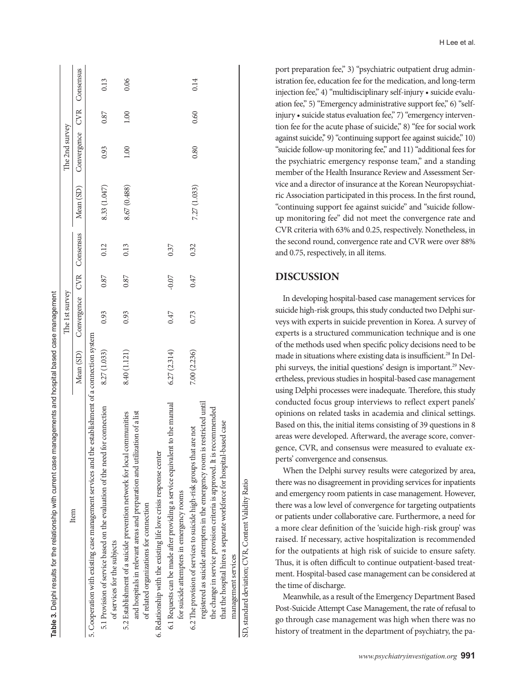| Table 3. Delphi results for the relationship with current case managements and hospital based case management                                                                                                                                                                                                                  |              |                                     |         |      |              |                           |      |      |
|--------------------------------------------------------------------------------------------------------------------------------------------------------------------------------------------------------------------------------------------------------------------------------------------------------------------------------|--------------|-------------------------------------|---------|------|--------------|---------------------------|------|------|
|                                                                                                                                                                                                                                                                                                                                |              | The 1st survey                      |         |      |              | The 2nd survey            |      |      |
| Item                                                                                                                                                                                                                                                                                                                           |              | Mean (SD) Convergence CVR Consensus |         |      | Mean (SD)    | Convergence CVR Consensus |      |      |
| 5. Cooperation with existing case management services and the establishment of a connection system                                                                                                                                                                                                                             |              |                                     |         |      |              |                           |      |      |
| 5.1 Provision of service based on the evaluation of the need for connection<br>of services for the subjects                                                                                                                                                                                                                    | 8.27 (1.033) | 0.93                                | 0.87    | 0.12 | 8.33 (1.047) | 0.93                      | 0.87 | 0.13 |
| and hospitals in relevant areas and preparation and utilization of a list<br>5.2 Establishment of a suicide prevention network for local communities<br>of related organizations for connection                                                                                                                                | 8.40 (1.121) | 0.93                                | 0.87    | 0.13 | 8.67 (0.488) | 001                       | 1.00 | 0.06 |
| 6. Relationship with the existing life love crisis response center                                                                                                                                                                                                                                                             |              |                                     |         |      |              |                           |      |      |
| 6.1 Requests can be made after providing a service equivalent to the manual<br>for suicide attempters in emergency rooms                                                                                                                                                                                                       | 6.27(2.314)  | 0.47                                | $-0.07$ | 0.37 |              |                           |      |      |
| registered as suicide attempters in the emergency room is restricted until<br>the change in service provision criteria is approved. It is recommended<br>that the hospital hires a separate workforce for hospital-based case<br>6.2 The provision of services to suicide high-risk groups that are not<br>management services | 7.00 (2.236) | 0.73                                | 0.47    | 0.32 | 7.27 (1.033) | 0.80                      | 0.60 | 0.14 |
| SD, standard deviation; CVR, Content Validity Ratio                                                                                                                                                                                                                                                                            |              |                                     |         |      |              |                           |      |      |

port preparation fee," 3) "psychiatric outpatient drug administration fee, education fee for the medication, and long-term injection fee," 4) "multidisciplinary self-injury • suicide evaluation fee," 5) "Emergency administrative support fee," 6) "selfinjury • suicide status evaluation fee," 7) "emergency intervention fee for the acute phase of suicide," 8) "fee for social work against suicide," 9) "continuing support fee against suicide," 10) "suicide follow-up monitoring fee," and 11) "additional fees for the psychiatric emergency response team," and a standing member of the Health Insurance Review and Assessment Service and a director of insurance at the Korean Neuropsychiatric Association participated in this process. In the first round, "continuing support fee against suicide" and "suicide followup monitoring fee" did not meet the convergence rate and CVR criteria with 63% and 0.25, respectively. Nonetheless, in the second round, convergence rate and CVR were over 88% and 0.75, respectively, in all items.

# **DISCUSSION**

In developing hospital-based case management services for suicide high-risk groups, this study conducted two Delphi surveys with experts in suicide prevention in Korea. A survey of experts is a structured communication technique and is one of the methods used when specific policy decisions need to be made in situations where existing data is insufficient.<sup>28</sup> In Delphi surveys, the initial questions' design is important.<sup>29</sup> Nevertheless, previous studies in hospital-based case management using Delphi processes were inadequate. Therefore, this study conducted focus group interviews to reflect expert panels' opinions on related tasks in academia and clinical settings. Based on this, the initial items consisting of 39 questions in 8 areas were developed. Afterward, the average score, convergence, CVR, and consensus were measured to evaluate experts' convergence and consensus.

When the Delphi survey results were categorized by area, there was no disagreement in providing services for inpatients and emergency room patients in case management. However, there was a low level of convergence for targeting outpatients or patients under collaborative care. Furthermore, a need for a more clear definition of the 'suicide high-risk group' was raised. If necessary, active hospitalization is recommended for the outpatients at high risk of suicide to ensure safety. Thus, it is often difficult to continue outpatient-based treatment. Hospital-based case management can be considered at the time of discharge.

Meanwhile, as a result of the Emergency Department Based Post-Suicide Attempt Case Management, the rate of refusal to go through case management was high when there was no history of treatment in the department of psychiatry, the pa-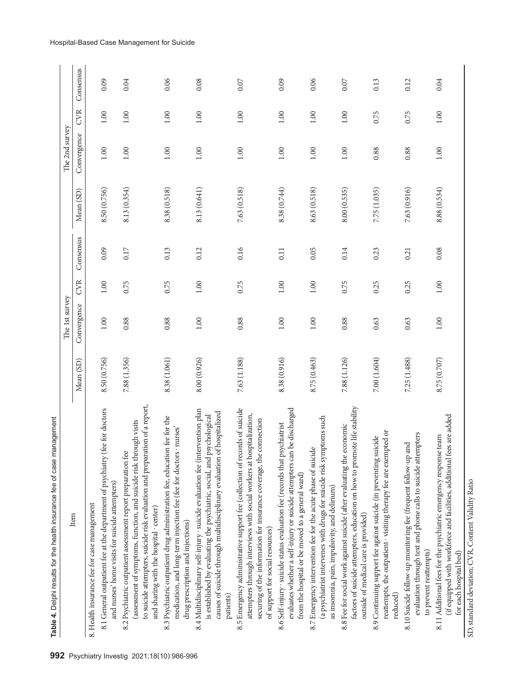| Table 4. Delphi results for the health insurance fee of case management                                                                                                                                                                                       |              |                |            |           |              |                |            |           |
|---------------------------------------------------------------------------------------------------------------------------------------------------------------------------------------------------------------------------------------------------------------|--------------|----------------|------------|-----------|--------------|----------------|------------|-----------|
|                                                                                                                                                                                                                                                               |              | The 1st survey |            |           |              | The 2nd survey |            |           |
| Item                                                                                                                                                                                                                                                          | Mean (SD)    | Convergence    | <b>CVR</b> | Consensus | Mean (SD)    | Convergence    | <b>CVR</b> | Consensus |
| 8. Health insurance fee for case management                                                                                                                                                                                                                   |              |                |            |           |              |                |            |           |
| (fee for doctors<br>8.1 General outpatient fee at the department of psychiatry<br>and nurses' home visits for suicide attempters)                                                                                                                             | 8.50 (0.756) | $1.00$         | 1.00       | 0.09      | 8.50 (0.756) | $1.00\,$       | $1.00$     | 0.09      |
| to suicide attempters, suicide risk evaluation and preparation of a report,<br>(assessment of symptoms, function, and suicide risk through visits<br>8.2 Psychiatric outpatient assessment report preparation fee<br>and sharing with the hospital · center)  | 7.88 (1.356) | 0.88           | 0.75       | $0.17\,$  | 8.13 (0.354) | $1.00\,$       | 1.00       | 0.04      |
| 8.3 Psychiatric outpatient drug administration fee, education fee for the<br>medication, and long-term injection fee (fee for doctors · nurses)<br>drug prescription and injections)                                                                          | 8.38 (1.061) | 0.88           | 0.75       | 0.13      | 8.38 (0.518) | $1.00\,$       | 1.00       | 0.06      |
| 8.4 Multidisciplinary self-injury · suicide evaluation fee (intervention plan<br>of hospitalized<br>is established by evaluating the psychiatric, social, and psychological<br>causes of suicide through multidisciplinary evaluation<br>patients)            | 8.00 (0.926) | 1.00           | 1.00       | 0.12      | 8.13 (0.641) | 1.00           | 1.00       | 0.08      |
| 8.5 Emergency administrative support fee (collection of records of suicide<br>attempters through interviews with social workers at hospitalization,<br>securing of the information for insurance coverage, the connection<br>of support for social resources) | 7.63 (1.188) | 0.88           | 0.75       | 0.16      | 7.63 (0.518) | 1.00           | 1.00       | 0.07      |
| evaluates whether a self-injury or suicide attempters can be discharged<br>8.6 Self-injury · suicide status evaluation fee (records that psychiatrist<br>from the hospital or be moved to a general ward)                                                     | 8.38 (0.916) | $1.00\,$       | 1.00       | 0.11      | 8.38 (0.744) | $1.00\,$       | 1.00       | 0.09      |
| (a psychiatrist intervenes with drugs for suicide risk symptoms such<br>8.7 Emergency intervention fee for the acute phase of suicide<br>as insomnia, pain, impulsivity, and delirium)                                                                        | 8.75 (0.463) | $1.00\,$       | $1.00\,$   | 0.05      | 8.63 (0.518) | $1.00\,$       | $1.00\,$   | 0.06      |
| factors of suicide attempters, education on how to promote life stability<br>8.8 Fee for social work against suicide (after evaluating the economic<br>outside of medical care is provided)                                                                   | 7.88 (1.126) | 0.88           | 0.75       | 0.14      | 8.00(0.535)  | $1.00\,$       | 1.00       | $0.07$    |
| reattempts, the outpatient · visiting therapy fee are exempted or<br>8.9 Continuing support fee against suicide (in preventing suicide<br>reduced)                                                                                                            | 7.00 (1.604) | 0.63           | 0.25       | 0.23      | 7.75 (1.035) | 0.88           | 0.75       | 0.13      |
| evaluation through text and phone calls to suicide attempters<br>and<br>8.10 Suicide follow-up monitoring fee (frequent follow-up<br>to prevent reattempts)                                                                                                   | 7.25 (1.488) | 0.63           | 0.25       | 0.21      | 7.63 (0.916) | 0.88           | 0.75       | 0.12      |
| fees are added<br>8.11 Additional fees for the psychiatric emergency response team<br>(if equipped with workforce and facilities, additional<br>for each hospital bed)                                                                                        | 8.75 (0.707) | $1.00\,$       | 1.00       | 0.08      | 8.88 (0.534) | $1.00$         | 1.00       | 0.04      |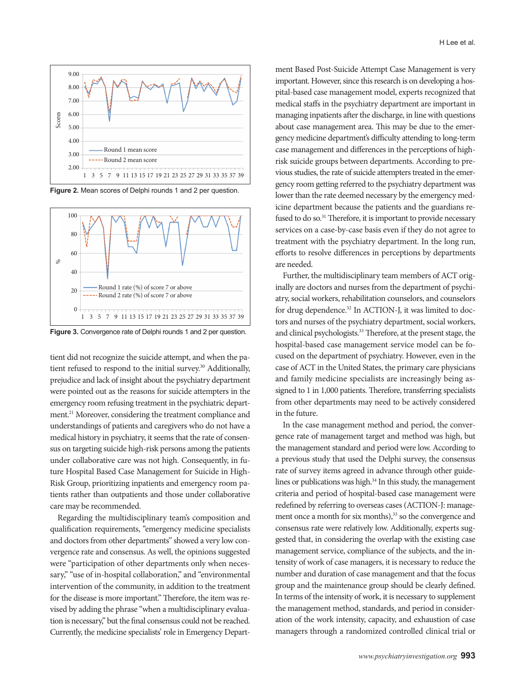

**Figure 2.** Mean scores of Delphi rounds 1 and 2 per question.



**Figure 3.** Convergence rate of Delphi rounds 1 and 2 per question.

tient did not recognize the suicide attempt, and when the patient refused to respond to the initial survey.<sup>30</sup> Additionally, prejudice and lack of insight about the psychiatry department were pointed out as the reasons for suicide attempters in the emergency room refusing treatment in the psychiatric department.<sup>21</sup> Moreover, considering the treatment compliance and understandings of patients and caregivers who do not have a medical history in psychiatry, it seems that the rate of consensus on targeting suicide high-risk persons among the patients under collaborative care was not high. Consequently, in future Hospital Based Case Management for Suicide in High-Risk Group, prioritizing inpatients and emergency room patients rather than outpatients and those under collaborative care may be recommended.

Regarding the multidisciplinary team's composition and qualification requirements, "emergency medicine specialists and doctors from other departments" showed a very low convergence rate and consensus. As well, the opinions suggested were "participation of other departments only when necessary," "use of in-hospital collaboration," and "environmental intervention of the community, in addition to the treatment for the disease is more important." Therefore, the item was revised by adding the phrase "when a multidisciplinary evaluation is necessary," but the final consensus could not be reached. Currently, the medicine specialists' role in Emergency Department Based Post-Suicide Attempt Case Management is very important. However, since this research is on developing a hospital-based case management model, experts recognized that medical staffs in the psychiatry department are important in managing inpatients after the discharge, in line with questions about case management area. This may be due to the emergency medicine department's difficulty attending to long-term case management and differences in the perceptions of highrisk suicide groups between departments. According to previous studies, the rate of suicide attempters treated in the emergency room getting referred to the psychiatry department was lower than the rate deemed necessary by the emergency medicine department because the patients and the guardians refused to do so.<sup>31</sup> Therefore, it is important to provide necessary services on a case-by-case basis even if they do not agree to treatment with the psychiatry department. In the long run, efforts to resolve differences in perceptions by departments are needed.

Further, the multidisciplinary team members of ACT originally are doctors and nurses from the department of psychiatry, social workers, rehabilitation counselors, and counselors for drug dependence.<sup>32</sup> In ACTION-J, it was limited to doctors and nurses of the psychiatry department, social workers, and clinical psychologists.<sup>33</sup> Therefore, at the present stage, the hospital-based case management service model can be focused on the department of psychiatry. However, even in the case of ACT in the United States, the primary care physicians and family medicine specialists are increasingly being assigned to 1 in 1,000 patients. Therefore, transferring specialists from other departments may need to be actively considered in the future.

In the case management method and period, the convergence rate of management target and method was high, but the management standard and period were low. According to a previous study that used the Delphi survey, the consensus rate of survey items agreed in advance through other guidelines or publications was high.<sup>34</sup> In this study, the management criteria and period of hospital-based case management were redefined by referring to overseas cases (ACTION-J: management once a month for six months),<sup>33</sup> so the convergence and consensus rate were relatively low. Additionally, experts suggested that, in considering the overlap with the existing case management service, compliance of the subjects, and the intensity of work of case managers, it is necessary to reduce the number and duration of case management and that the focus group and the maintenance group should be clearly defined. In terms of the intensity of work, it is necessary to supplement the management method, standards, and period in consideration of the work intensity, capacity, and exhaustion of case managers through a randomized controlled clinical trial or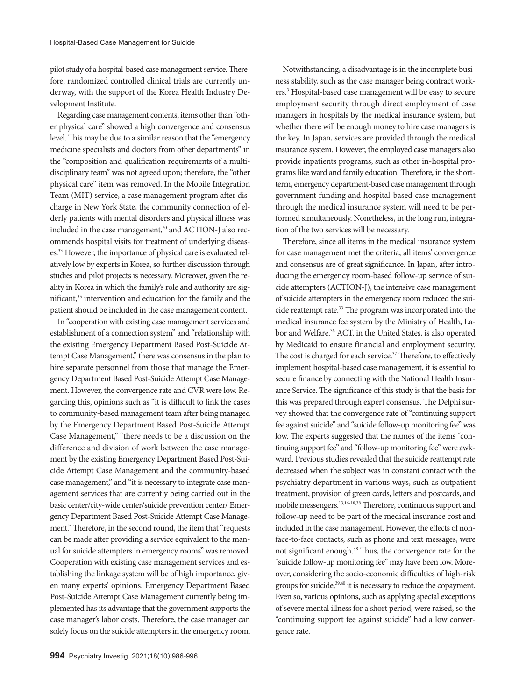pilot study of a hospital-based case management service. Therefore, randomized controlled clinical trials are currently underway, with the support of the Korea Health Industry Development Institute.

Regarding case management contents, items other than "other physical care" showed a high convergence and consensus level. This may be due to a similar reason that the "emergency medicine specialists and doctors from other departments" in the "composition and qualification requirements of a multidisciplinary team" was not agreed upon; therefore, the "other physical care" item was removed. In the Mobile Integration Team (MIT) service, a case management program after discharge in New York State, the community connection of elderly patients with mental disorders and physical illness was included in the case management,<sup>20</sup> and ACTION-J also recommends hospital visits for treatment of underlying diseases.33 However, the importance of physical care is evaluated relatively low by experts in Korea, so further discussion through studies and pilot projects is necessary. Moreover, given the reality in Korea in which the family's role and authority are significant,<sup>35</sup> intervention and education for the family and the patient should be included in the case management content.

In "cooperation with existing case management services and establishment of a connection system" and "relationship with the existing Emergency Department Based Post-Suicide Attempt Case Management," there was consensus in the plan to hire separate personnel from those that manage the Emergency Department Based Post-Suicide Attempt Case Management. However, the convergence rate and CVR were low. Regarding this, opinions such as "it is difficult to link the cases to community-based management team after being managed by the Emergency Department Based Post-Suicide Attempt Case Management," "there needs to be a discussion on the difference and division of work between the case management by the existing Emergency Department Based Post-Suicide Attempt Case Management and the community-based case management," and "it is necessary to integrate case management services that are currently being carried out in the basic center/city-wide center/suicide prevention center/ Emergency Department Based Post-Suicide Attempt Case Management." Therefore, in the second round, the item that "requests can be made after providing a service equivalent to the manual for suicide attempters in emergency rooms" was removed. Cooperation with existing case management services and establishing the linkage system will be of high importance, given many experts' opinions. Emergency Department Based Post-Suicide Attempt Case Management currently being implemented has its advantage that the government supports the case manager's labor costs. Therefore, the case manager can solely focus on the suicide attempters in the emergency room.

Notwithstanding, a disadvantage is in the incomplete business stability, such as the case manager being contract workers.3 Hospital-based case management will be easy to secure employment security through direct employment of case managers in hospitals by the medical insurance system, but whether there will be enough money to hire case managers is the key. In Japan, services are provided through the medical insurance system. However, the employed case managers also provide inpatients programs, such as other in-hospital programs like ward and family education. Therefore, in the shortterm, emergency department-based case management through government funding and hospital-based case management through the medical insurance system will need to be performed simultaneously. Nonetheless, in the long run, integration of the two services will be necessary.

Therefore, since all items in the medical insurance system for case management met the criteria, all items' convergence and consensus are of great significance. In Japan, after introducing the emergency room-based follow-up service of suicide attempters (ACTION-J), the intensive case management of suicide attempters in the emergency room reduced the suicide reattempt rate.33 The program was incorporated into the medical insurance fee system by the Ministry of Health, Labor and Welfare.<sup>36</sup> ACT, in the United States, is also operated by Medicaid to ensure financial and employment security. The cost is charged for each service.<sup>37</sup> Therefore, to effectively implement hospital-based case management, it is essential to secure finance by connecting with the National Health Insurance Service. The significance of this study is that the basis for this was prepared through expert consensus. The Delphi survey showed that the convergence rate of "continuing support fee against suicide" and "suicide follow-up monitoring fee" was low. The experts suggested that the names of the items "continuing support fee" and "follow-up monitoring fee" were awkward. Previous studies revealed that the suicide reattempt rate decreased when the subject was in constant contact with the psychiatry department in various ways, such as outpatient treatment, provision of green cards, letters and postcards, and mobile messengers.13,16-18,38 Therefore, continuous support and follow-up need to be part of the medical insurance cost and included in the case management. However, the effects of nonface-to-face contacts, such as phone and text messages, were not significant enough.38 Thus, the convergence rate for the "suicide follow-up monitoring fee" may have been low. Moreover, considering the socio-economic difficulties of high-risk groups for suicide,<sup>39,40</sup> it is necessary to reduce the copayment. Even so, various opinions, such as applying special exceptions of severe mental illness for a short period, were raised, so the "continuing support fee against suicide" had a low convergence rate.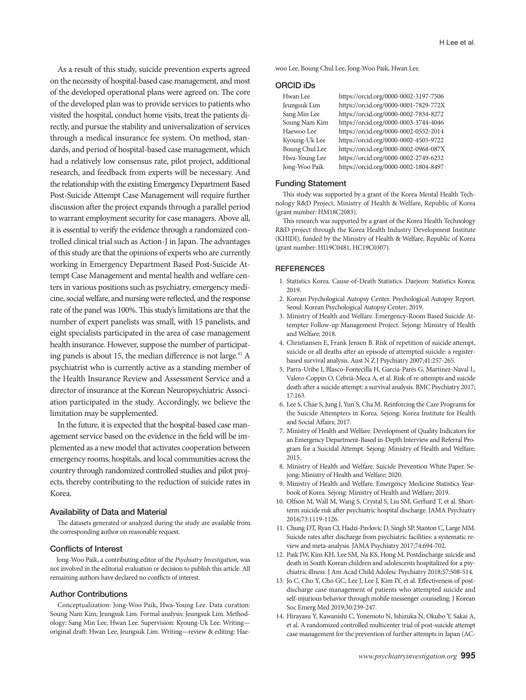As a result of this study, suicide prevention experts agreed on the necessity of hospital-based case management, and most of the developed operational plans were agreed on. The core of the developed plan was to provide services to patients who visited the hospital, conduct home visits, treat the patients directly, and pursue the stability and universalization of services through a medical insurance fee system. On method, standards, and period of hospital-based case management, which had a relatively low consensus rate, pilot project, additional research, and feedback from experts will be necessary. And the relationship with the existing Emergency Department Based Post-Suicide Attempt Case Management will require further discussion after the project expands through a parallel period to warrant employment security for case managers. Above all, it is essential to verify the evidence through a randomized controlled clinical trial such as Action-J in Japan. The advantages of this study are that the opinions of experts who are currently working in Emergency Department Based Post-Suicide Attempt Case Management and mental health and welfare centers in various positions such as psychiatry, emergency medicine, social welfare, and nursing were reflected, and the response rate of the panel was 100%. This study's limitations are that the number of expert panelists was small, with 15 panelists, and eight specialists participated in the area of case management health insurance. However, suppose the number of participating panels is about 15, the median difference is not large.<sup>41</sup> A psychiatrist who is currently active as a standing member of the Health Insurance Review and Assessment Service and a director of insurance at the Korean Neuropsychiatric Association participated in the study. Accordingly, we believe the limitation may be supplemented.

In the future, it is expected that the hospital-based case management service based on the evidence in the field will be implemented as a new model that activates cooperation between emergency rooms, hospitals, and local communities across the country through randomized controlled studies and pilot projects, thereby contributing to the reduction of suicide rates in Korea.

### Availability of Data and Material

The datasets generated or analyzed during the study are available from the corresponding author on reasonable request.

### Conflicts of Interest

Jong-Woo Paik, a contributing editor of the *Psychiatry Investigation*, was not involved in the editorial evaluation or decision to publish this article. All remaining authors have declared no conflicts of interest.

### Author Contributions

Conceptualization: Jong-Woo Paik, Hwa-Young Lee. Data curation: Soung Nam Kim, Jeungsuk Lim. Formal analysis: Jeungsuk Lim. Methodology: Sang Min Lee, Hwan Lee. Supervision: Kyoung-Uk Lee. Writing original draft: Hwan Lee, Jeungsuk Lim. Writing—review & editing: Haewoo Lee, Boung Chul Lee, Jong-Woo Paik, Hwan Lee.

#### ORCID iDs

| Hwan Lee       | https://orcid.org/0000-0002-3197-7506 |
|----------------|---------------------------------------|
| Jeungsuk Lim   | https://orcid.org/0000-0001-7829-772X |
| Sang Min Lee   | https://orcid.org/0000-0002-7834-8272 |
| Soung Nam Kim  | https://orcid.org/0000-0003-3744-4046 |
| Haewoo Lee     | https://orcid.org/0000-0002-0552-2014 |
| Kyoung-Uk Lee  | https://orcid.org/0000-0002-4505-9722 |
| Boung Chul Lee | https://orcid.org/0000-0002-0968-087X |
| Hwa-Young Lee  | https://orcid.org/0000-0002-2749-6232 |
| Jong-Woo Paik  | https://orcid.org/0000-0002-1804-8497 |

### Funding Statement

This study was supported by a grant of the Korea Mental Health Technology R&D Project, Ministry of Health & Welfare, Republic of Korea (grant number: HM18C2083).

This research was supported by a grant of the Korea Health Technology R&D project through the Korea Health Industry Development Institute (KHIDI), funded by the Ministry of Health & Welfare, Republic of Korea (grant number: HI19C0481, HC19C0307).

### **REFERENCES**

- 1. Statistics Korea. Cause-of-Death Statistics. Daejeon: Statistics Korea; 2019.
- 2. Korean Psychological Autopsy Center. Psychological Autopsy Report. Seoul: Korean Psychological Autopsy Center; 2019.
- 3. Ministry of Health and Welfare. Emergency-Room Based Suicide Attempter Follow-up Management Project. Sejong: Ministry of Health and Welfare; 2018.
- 4. Christiansen E, Frank Jensen B. Risk of repetition of suicide attempt, suicide or all deaths after an episode of attempted suicide: a registerbased survival analysis. Aust N Z J Psychiatry 2007;41:257-265.
- 5. Parra-Uribe I, Blasco-Fontecilla H, Garcia-Parés G, Martínez-Naval L, Valero-Coppin O, Cebrià-Meca A, et al. Risk of re-attempts and suicide death after a suicide attempt: a survival analysis. BMC Psychiatry 2017; 17:163.
- 6. Lee S, Chae S, Jung J, Yun S, Cha M. Reinforcing the Care Programs for the Suicide Attempters in Korea. Sejong: Korea Institute for Health and Social Affairs; 2017.
- 7. Ministry of Health and Welfare. Development of Quality Indicators for an Emergency Department-Based in-Depth Interview and Referral Program for a Suicidal Attempt. Sejong: Ministry of Health and Welfare; 2015.
- 8. Ministry of Health and Welfare. Suicide Prevention White Paper. Sejong: Ministry of Health and Welfare; 2020.
- 9. Ministry of Health and Welfare. Emergency Medicine Statistics Yearbook of Korea. Sejong: Ministry of Health and Welfare; 2019.
- 10. Olfson M, Wall M, Wang S, Crystal S, Liu SM, Gerhard T, et al. Shortterm suicide risk after psychiatric hospital discharge. JAMA Psychiatry 2016;73:1119-1126.
- 11. Chung DT, Ryan CJ, Hadzi-Pavlovic D, Singh SP, Stanton C, Large MM. Suicide rates after discharge from psychiatric facilities: a systematic review and meta-analysis. JAMA Psychiatry 2017;74:694-702.
- 12. Paik JW, Kim KH, Lee SM, Na KS, Hong M. Postdischarge suicide and death in South Korean children and adolescents hospitalized for a psychiatric illness. J Am Acad Child Adolesc Psychiatry 2018;57:508-514.
- 13. Jo C, Cho Y, Cho GC, Lee J, Lee J, Kim IY, et al. Effectiveness of postdischarge case management of patients who attempted suicide and self-injurious behavior through mobile messenger counseling. J Korean Soc Emerg Med 2019;30:239-247.
- 14. Hirayasu Y, Kawanishi C, Yonemoto N, Ishizuka N, Okubo Y, Sakai A, et al. A randomized controlled multicenter trial of post-suicide attempt case management for the prevention of further attempts in Japan (AC-